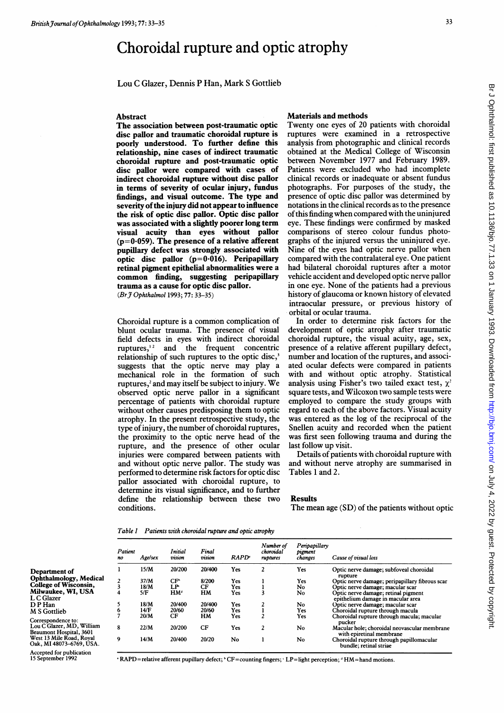# Choroidal rupture and optic atrophy

Lou C Glazer, Dennis P Han, Mark S Gottlieb

#### Abstract

The association between post-traumatic optic disc pallor and traumatic choroidal rupture is poorly understood. To further define this relationship, nine cases of indirect traumatic choroidal rupture and post-traumatic optic disc pallor were compared with cases of indirect choroidal rupture without disc pallor in terms of severity of ocular injury, fundus findings, and visual outcome. The type and severity of the injury did not appear to influence the risk of optic disc pallor. Optic disc pallor was associated with a slightly poorer long term visual acuity than eyes without pallor  $(p=0.059)$ . The presence of a relative afferent pupillary defect was strongly associated with optic disc pallor  $(p=0.016)$ . Peripapillary retinal pigment epithelial abnormalities were a common finding, suggesting peripapillary trauma as a cause for optic disc pallor. (Br J Ophthalmol 1993; 77: 33-35)

Choroidal rupture is <sup>a</sup> common complication of blunt ocular trauma. The presence of visual field defects in eyes with indirect choroidal ruptures, $12$  and the frequent concentric relationship of such ruptures to the optic disc,<sup>3</sup> suggests that the optic nerve may play a mechanical role in the formation of such ruptures,<sup>2</sup> and may itself be subject to injury. We observed optic nerve pallor in a significant percentage of patients with choroidal rupture without other causes predisposing them to optic atrophy. In the present retrospective study, the type of injury, the number of choroidal ruptures, the proximity to the optic nerve head of the rupture, and the presence of other ocular injuries were compared between patients with and without optic nerve pallor. The study was performed to determine risk factors for optic disc pallor associated with choroidal rupture, to determine its visual significance, and to further define the relationship between these two conditions.

## Materials and methods

Twenty one eyes of 20 patients with choroidal ruptures were examined in a retrospective analysis from photographic and clinical records obtained at the Medical College of Wisconsin between November 1977 and February 1989. Patients were excluded who had incomplete clinical records or inadequate or absent fundus photographs. For purposes of the study, the presence of optic disc pallor was determined by notations in the clinical records as to the presence ofthis finding when compared with the uninjured eye. These findings were confirmed by masked comparisons of stereo colour fundus photographs of the injured versus the uninjured eye. Nine of the eyes had optic nerve pallor when compared with the contralateral eye. One patient had bilateral choroidal ruptures after a motor vehicle accident and developed optic nerve pallor in one eye. None of the patients had a previous history of glaucoma or known history of elevated intraocular pressure, or previous history of orbital or ocular trauma.

In order to determine risk factors for the development of optic atrophy after traumatic choroidal rupture, the visual acuity, age, sex, presence of a relative afferent pupillary defect, number and location of the ruptures, and associated ocular defects were compared in patients with and without optic atrophy. Statistical analysis using Fisher's two tailed exact test,  $\chi^2$ square tests, and Wilcoxon two sample tests were employed to compare the study groups with regard to each of the above factors. Visual acuity was entered as the log of the reciprocal of the Snellen acuity and recorded when the patient was first seen following trauma and during the last follow up visit.

Details of patients with choroidal rupture with and without nerve atrophy are summarised in Tables <sup>1</sup> and 2.

### Results

The mean age (SD) of the patients without optic

| Table 1 | Patients with choroidal rupture and optic atrophy |  |  |
|---------|---------------------------------------------------|--|--|
|---------|---------------------------------------------------|--|--|

|                                                      | Patient<br>n <sub>o</sub> | <b>Age/sex</b> | Initial<br>$\sim$<br>vision | Final<br>$\cdot$ $\cdot$<br>vision | <b>RAPD</b> | Number of<br>choroidal<br>ruptures | Peripapillary<br>pigment<br>changes | Cause of visual loss                                                     |
|------------------------------------------------------|---------------------------|----------------|-----------------------------|------------------------------------|-------------|------------------------------------|-------------------------------------|--------------------------------------------------------------------------|
| Department of                                        |                           | 15/M           | 20/200                      | 20/400                             | Yes         |                                    | Yes                                 | Optic nerve damage; subfoveal choroidal                                  |
| Ophthalmology, Medical                               |                           | 37/M           | CF <sup>6</sup>             | 8/200                              | Yes         |                                    | Yes                                 | rupture<br>Optic nerve damage; peripapillary fibrous scar                |
| College of Wisconsin,                                |                           | 18/M           | LP                          | CF                                 | Yes         |                                    | No                                  | Optic nerve damage; macular scar                                         |
| Milwaukee, WI, USA<br>L C Glazer                     |                           | 5/F            | HM <sup>ª</sup>             | HM                                 | Yes         |                                    | <b>No</b>                           | Optic nerve damage; retinal pigment<br>epithelium damage in macular area |
| DP Han                                               |                           | 18/M           | 20/400                      | 20/400                             | Yes         |                                    | No                                  | Optic nerve damage; macular scar                                         |
| M S Gottlieb                                         |                           | 14/F           | 20/60                       | 20/60                              | Yes.        |                                    | Yes                                 | Choroidal rupture through macula                                         |
| Correspondence to:                                   |                           | 20/M           | CF                          | HM                                 | Yes         |                                    | Yes                                 | Choroidal rupture through macula; macular<br>pucker                      |
| Lou C Glazer, MD, William<br>Beaumont Hospital, 3601 | 8                         | 22/M           | 20/200                      | CF                                 | Yes         |                                    | No                                  | Macular hole; choroidal neovascular membrane<br>with epiretinal membrane |
| West 13 Mile Road, Royal<br>Oak, MI 48073-6769, USA. | 9                         | 14/M           | 20/400                      | 20/20                              | No          |                                    | No                                  | Choroidal rupture through papillomacular<br>bundle; retinal striae       |
| $\blacksquare$                                       |                           |                |                             |                                    |             |                                    |                                     |                                                                          |

Accepted for publication 15 September 1992

' RAPD=relative afferent pupillary defect; 'CF=counting fingers; 'LP=light perception; ' HM=hand motions.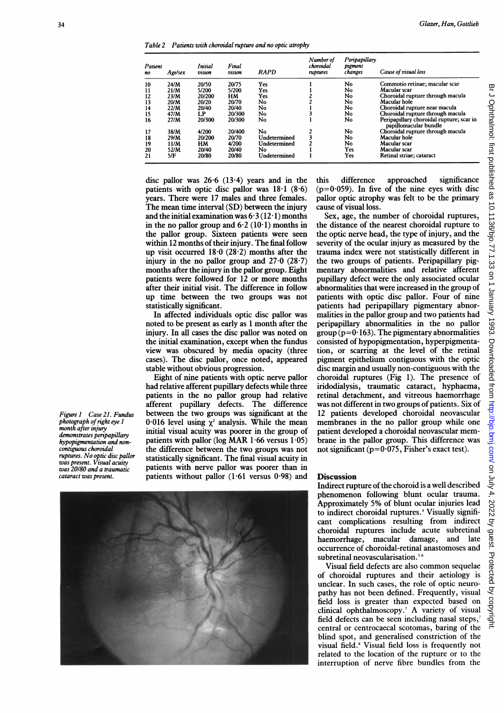Table 2 Patients with choroidal rupture and no optic atrophy

| Patient<br>no | <b>Age/sex</b> | <b>Initial</b><br>$\cdot$ $\cdot$<br>vision | Final<br>$\sim$ $\sim$<br>vision | <b>RAPD</b>  | Number of<br>choroidal<br>ruptures | Peripapillary<br>pigment<br>changes | Cause of visual loss                                              |
|---------------|----------------|---------------------------------------------|----------------------------------|--------------|------------------------------------|-------------------------------------|-------------------------------------------------------------------|
| 10            | 24/M           | 20/50                                       | 20/75                            | Yes          |                                    | No                                  | Commotio retinae; macular scar                                    |
| 11            | 21/M           | 5/200                                       | 5/200                            | Yes          |                                    | No                                  | Macular scar                                                      |
| 12            | 23/M           | 20/200                                      | <b>HM</b>                        | Yes          |                                    | No                                  | Choroidal rupture through macula                                  |
| 13            | 20/M           | 20/20                                       | 20/70                            | No           |                                    | No                                  | Macular hole                                                      |
| 14            | 22/M           | 20/40                                       | 20/40                            | No           |                                    | No                                  | Choroidal rupture near macula                                     |
| 15            | 47/M           | LP                                          | 20/300                           | No           |                                    | No                                  | Choroidal rupture through macula                                  |
| 16            | 27/M           | 20/300                                      | 20/300                           | No           |                                    | No                                  | Peripapillary choroidal rupture; scar in<br>papillomacular bundle |
| 17            | 38/M           | 4/200                                       | 20/400                           | No           |                                    | No                                  | Choroidal rupture through macula                                  |
| 18            | 29/M           | 20/200                                      | 20/70                            | Undetermined |                                    | No                                  | Macular hole                                                      |
| 19            | 11/M           | HM                                          | 4/200                            | Undetermined |                                    | No                                  | Macular scar                                                      |
| 20            | 52/M           | 20/40                                       | 20/40                            | No           |                                    | Yes                                 | Macular scar                                                      |
| 21            | 5/F            | 20/80                                       | 20/80                            | Undetermined |                                    | Yes                                 | Retinal striae; cataract                                          |

disc pallor was 26-6 (13-4) years and in the patients with optic disc pallor was  $18.1$  ( $8.6$ ) years. There were 17 males and three females. The mean time interval (SD) between the injury and the initial examination was  $6.3(12.1)$  months in the no pallor group and  $6.2$  (10.1) months in the pallor group. Sixteen patients were seen within 12 months of their injury. The final follow up visit occurred  $18.0$  (28.2) months after the injury in the no pallor group and  $27.0$  ( $28.7$ ) months after the injury in the pallor group. Eight patients were followed for 12 or more months after their initial visit. The difference in follow up time between the two groups was not statistically significant.

In affected individuals optic disc pallor was noted to be present as early as <sup>1</sup> month after the injury. In all cases the disc pallor was noted on the initial examination, except when the fundus view was obscured by media opacity (three cases). The disc pallor, once noted, appeared stable without obvious progression.

Eight of nine patients with optic nerve pallor had relative afferent pupillary defects while three patients in the no pallor group had relative afferent pupillary defects. The difference between the two groups was significant at the 0.016 level using  $\chi^2$  analysis. While the mean initial visual acuity was poorer in the group of patients with pallor (log MAR  $1.66$  versus  $1.05$ ) the difference between the two groups was not statistically significant. The final visual acuity in patients with nerve pallor was poorer than in patients without pallor  $(1.61$  versus  $0.98)$  and this difference approached significance  $(p=0.059)$ . In five of the nine eyes with disc pallor optic atrophy was felt to be the primary cause of visual loss.

Sex, age, the number of choroidal ruptures, the distance of the nearest choroidal rupture to the optic nerve head, the type of injury, and the severity of the ocular injury as measured by the trauma index were not statistically different in the two groups of patients. Peripapillary pigmentary abnormalities and relative afferent pupillary defect were the only associated ocular abnormalities that were increased in the group of patients with optic disc pallor. Four of nine patients had peripapillary pigmentary abnormalities in the pallor group and two patients had peripapillary abnormalities in the no pallor group ( $p=0.163$ ). The pigmentary abnormalities consisted of hypopigmentation, hyperpigmentation, or scarring at the level of the retinal pigment epithelium contiguous with the optic disc margin and usually non-contiguous with the choroidal ruptures (Fig 1). The presence of iridodialysis, traumatic cataract, hyphaema, retinal detachment, and vitreous haemorrhage was not different in two groups of patients. Six of 12 patients developed choroidal neovascular membranes in the no pallor group while one patient developed <sup>a</sup> choroidal neovascular membrane in the pallor group. This difference was not significant ( $p=0.075$ , Fisher's exact test).





#### **Discussion**

Indirect rupture of the choroid is a well described phenomenon following blunt ocular trauma. Approximately 5% of blunt ocular injuries lead to indirect choroidal ruptures.<sup>4</sup> Visually significant complications resulting from indirect choroidal ruptures include acute subretinal haemorrhage, macular damage, and late occurrence of choroidal-retinal anastomoses and subretinal neovascularisation.<sup>5</sup>

Visual field defects are also common sequelae of choroidal ruptures and their aetiology is unclear. In such cases, the role of optic neuropathy has not been defined. Frequently, visual field loss is greater than expected based on clinical ophthalmoscopy.7 A variety of visual field defects can be seen including nasal steps,<sup>7</sup> central or centrocaecal scotomas, baring of the blind spot, and generalised constriction of the visual field.8 Visual field loss is frequently not related to the location of the rupture or to the interruption of nerve fibre bundles from the